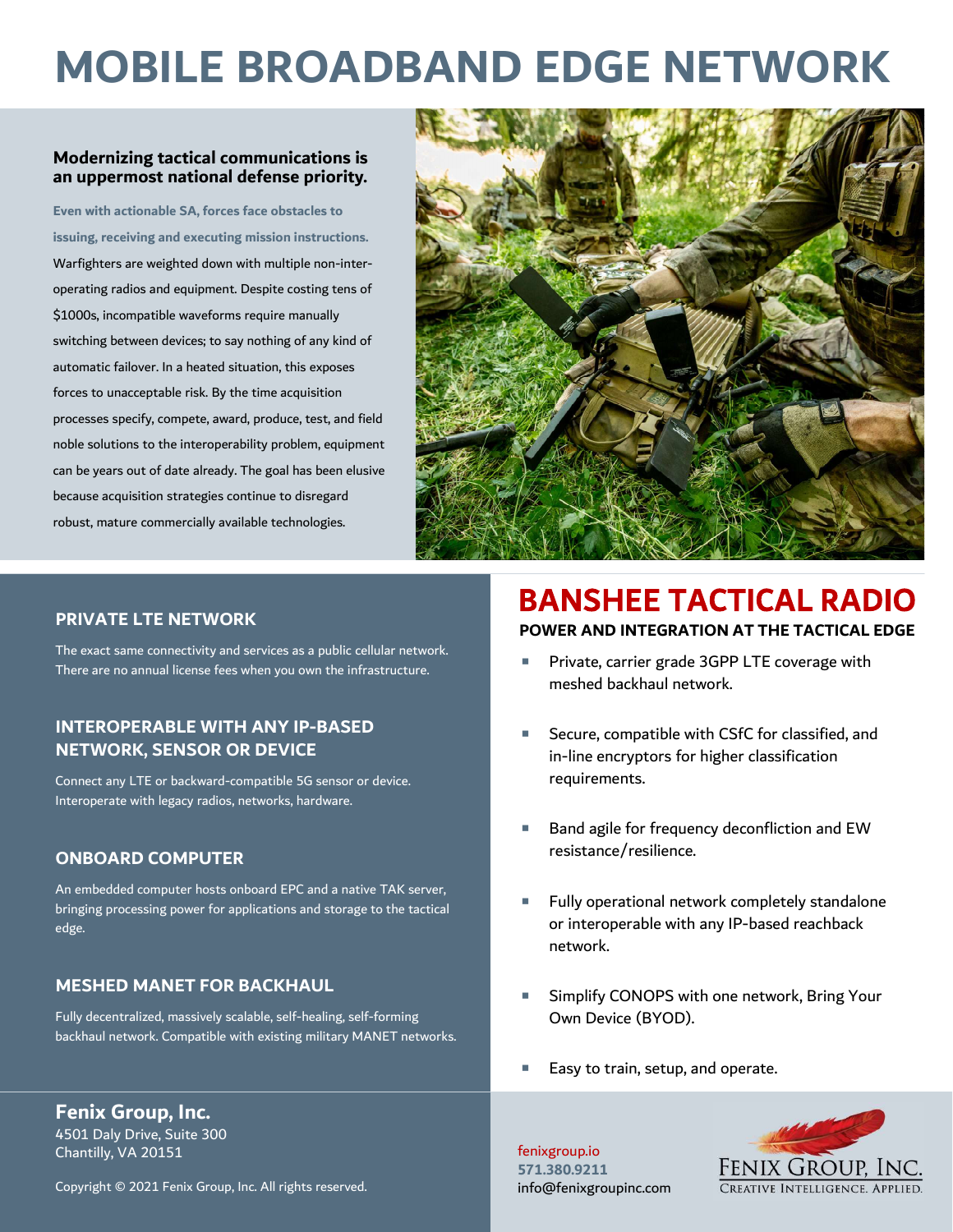# MOBILE BROADBAND EDGE NETWORK

#### Modernizing tactical communications is an uppermost national defense priority.

Even with actionable SA, forces face obstacles to issuing, receiving and executing mission instructions. Warfighters are weighted down with multiple non-interoperating radios and equipment. Despite costing tens of \$1000s, incompatible waveforms require manually switching between devices; to say nothing of any kind of automatic failover. In a heated situation, this exposes forces to unacceptable risk. By the time acquisition processes specify, compete, award, produce, test, and field noble solutions to the interoperability problem, equipment can be years out of date already. The goal has been elusive because acquisition strategies continue to disregard robust, mature commercially available technologies.



#### PRIVATE LTE NETWORK

The exact same connectivity and services as a public cellular network. There are no annual license fees when you own the infrastructure.

#### INTEROPERABLE WITH ANY IP-BASED NETWORK, SENSOR OR DEVICE

Connect any LTE or backward-compatible 5G sensor or device. Interoperate with legacy radios, networks, hardware.

#### ONBOARD COMPUTER

An embedded computer hosts onboard EPC and a native TAK server, bringing processing power for applications and storage to the tactical edge.

#### MESHED MANET FOR BACKHAUL

Fully decentralized, massively scalable, self-healing, self-forming backhaul network. Compatible with existing military MANET networks.

Fenix Group, Inc. 4501 Daly Drive, Suite 300 Chantilly, VA 20151

Copyright © 2021 Fenix Group, Inc. All rights reserved.

### **BANSHEE TACTICAL RADIO** POWER AND INTEGRATION AT THE TACTICAL EDGE

- Private, carrier grade 3GPP LTE coverage with meshed backhaul network.
- Secure, compatible with CSfC for classified, and in-line encryptors for higher classification requirements.
- Band agile for frequency deconfliction and EW resistance/resilience.
- Fully operational network completely standalone or interoperable with any IP-based reachback network.
- Simplify CONOPS with one network, Bring Your Own Device (BYOD).
- Easy to train, setup, and operate.

571.380.9211 info@fenixgroupinc.com